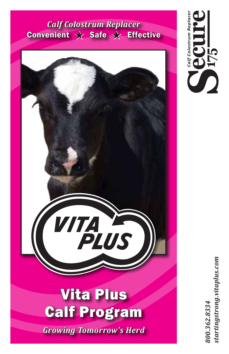# *Calf Colostrum Replacer*  Convenient  $\color{red}\downarrow\color{black}$  Safe  $\color{red}\downarrow\color{black}$  Effective



*Growing Tomorrow's Herd*

*To learn more about Secure Maternal Colostrum Replacer contact your Vita Plus sales representative, Vita Plus dealership or call the toll free number below:*  $\mathbf{F}$  Follow written, posted new  $\mathbf{F}$ *800.362.8334 startingstrong.vitaplus.com*

**Convenient** 

**i75** 

Calf Colostrum Replacer

 $\blacksquare$